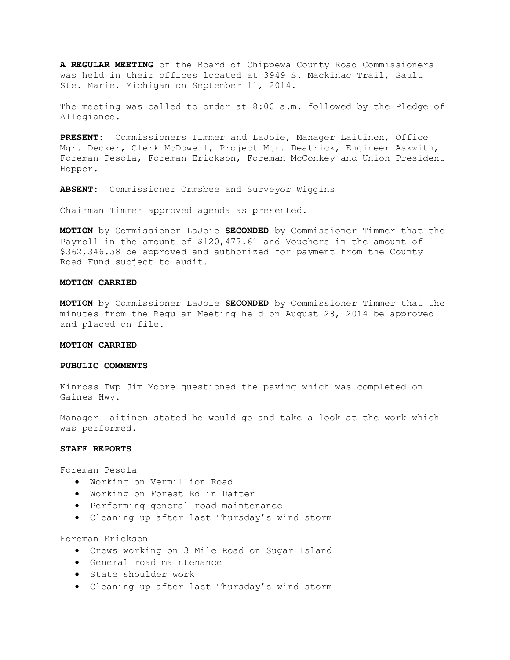**A REGULAR MEETING** of the Board of Chippewa County Road Commissioners was held in their offices located at 3949 S. Mackinac Trail, Sault Ste. Marie, Michigan on September 11, 2014.

The meeting was called to order at 8:00 a.m. followed by the Pledge of Allegiance.

**PRESENT:** Commissioners Timmer and LaJoie, Manager Laitinen, Office Mgr. Decker, Clerk McDowell, Project Mgr. Deatrick, Engineer Askwith, Foreman Pesola, Foreman Erickson, Foreman McConkey and Union President Hopper.

**ABSENT:** Commissioner Ormsbee and Surveyor Wiggins

Chairman Timmer approved agenda as presented.

**MOTION** by Commissioner LaJoie **SECONDED** by Commissioner Timmer that the Payroll in the amount of \$120,477.61 and Vouchers in the amount of \$362,346.58 be approved and authorized for payment from the County Road Fund subject to audit.

## **MOTION CARRIED**

**MOTION** by Commissioner LaJoie **SECONDED** by Commissioner Timmer that the minutes from the Regular Meeting held on August 28, 2014 be approved and placed on file.

## **MOTION CARRIED**

## **PUBULIC COMMENTS**

Kinross Twp Jim Moore questioned the paving which was completed on Gaines Hwy.

Manager Laitinen stated he would go and take a look at the work which was performed.

## **STAFF REPORTS**

Foreman Pesola

- · Working on Vermillion Road
- · Working on Forest Rd in Dafter
- · Performing general road maintenance
- · Cleaning up after last Thursday's wind storm

Foreman Erickson

- · Crews working on 3 Mile Road on Sugar Island
- · General road maintenance
- · State shoulder work
- · Cleaning up after last Thursday's wind storm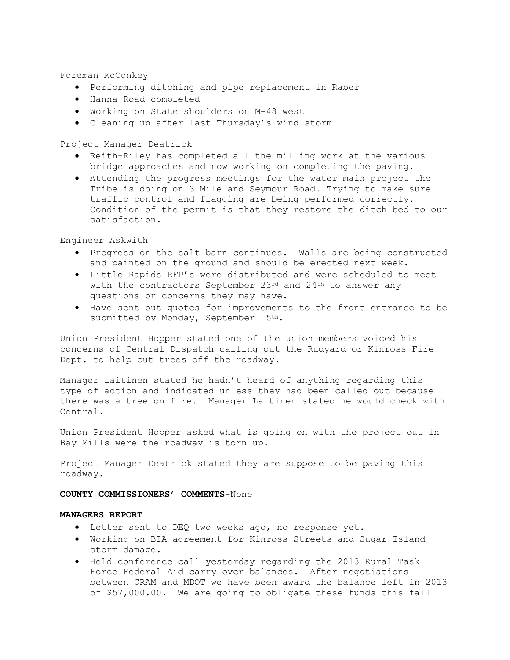Foreman McConkey

- · Performing ditching and pipe replacement in Raber
- · Hanna Road completed
- · Working on State shoulders on M-48 west
- · Cleaning up after last Thursday's wind storm

Project Manager Deatrick

- · Reith-Riley has completed all the milling work at the various bridge approaches and now working on completing the paving.
- · Attending the progress meetings for the water main project the Tribe is doing on 3 Mile and Seymour Road. Trying to make sure traffic control and flagging are being performed correctly. Condition of the permit is that they restore the ditch bed to our satisfaction.

Engineer Askwith

- · Progress on the salt barn continues. Walls are being constructed and painted on the ground and should be erected next week.
- · Little Rapids RFP's were distributed and were scheduled to meet with the contractors September 23rd and 24<sup>th</sup> to answer any questions or concerns they may have.
- · Have sent out quotes for improvements to the front entrance to be submitted by Monday, September 15th.

Union President Hopper stated one of the union members voiced his concerns of Central Dispatch calling out the Rudyard or Kinross Fire Dept. to help cut trees off the roadway.

Manager Laitinen stated he hadn't heard of anything regarding this type of action and indicated unless they had been called out because there was a tree on fire. Manager Laitinen stated he would check with Central.

Union President Hopper asked what is going on with the project out in Bay Mills were the roadway is torn up.

Project Manager Deatrick stated they are suppose to be paving this roadway.

# **COUNTY COMMISSIONERS' COMMENTS**-None

# **MANAGERS REPORT**

- · Letter sent to DEQ two weeks ago, no response yet.
- · Working on BIA agreement for Kinross Streets and Sugar Island storm damage.
- · Held conference call yesterday regarding the 2013 Rural Task Force Federal Aid carry over balances. After negotiations between CRAM and MDOT we have been award the balance left in 2013 of \$57,000.00. We are going to obligate these funds this fall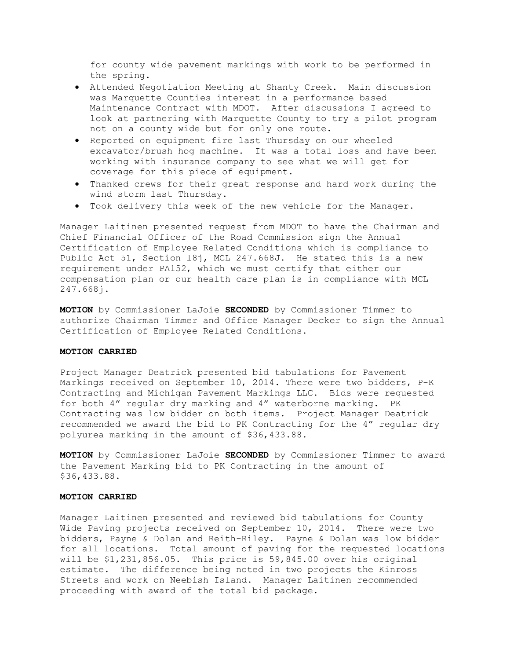for county wide pavement markings with work to be performed in the spring.

- · Attended Negotiation Meeting at Shanty Creek. Main discussion was Marquette Counties interest in a performance based Maintenance Contract with MDOT. After discussions I agreed to look at partnering with Marquette County to try a pilot program not on a county wide but for only one route.
- · Reported on equipment fire last Thursday on our wheeled excavator/brush hog machine. It was a total loss and have been working with insurance company to see what we will get for coverage for this piece of equipment.
- · Thanked crews for their great response and hard work during the wind storm last Thursday.
- · Took delivery this week of the new vehicle for the Manager.

Manager Laitinen presented request from MDOT to have the Chairman and Chief Financial Officer of the Road Commission sign the Annual Certification of Employee Related Conditions which is compliance to Public Act 51, Section l8j, MCL 247.668J. He stated this is a new requirement under PA152, which we must certify that either our compensation plan or our health care plan is in compliance with MCL 247.668j.

**MOTION** by Commissioner LaJoie **SECONDED** by Commissioner Timmer to authorize Chairman Timmer and Office Manager Decker to sign the Annual Certification of Employee Related Conditions.

### **MOTION CARRIED**

Project Manager Deatrick presented bid tabulations for Pavement Markings received on September 10, 2014. There were two bidders, P-K Contracting and Michigan Pavement Markings LLC. Bids were requested for both 4" regular dry marking and 4" waterborne marking. PK Contracting was low bidder on both items. Project Manager Deatrick recommended we award the bid to PK Contracting for the 4" regular dry polyurea marking in the amount of \$36,433.88.

**MOTION** by Commissioner LaJoie **SECONDED** by Commissioner Timmer to award the Pavement Marking bid to PK Contracting in the amount of \$36,433.88.

#### **MOTION CARRIED**

Manager Laitinen presented and reviewed bid tabulations for County Wide Paving projects received on September 10, 2014. There were two bidders, Payne & Dolan and Reith-Riley. Payne & Dolan was low bidder for all locations. Total amount of paving for the requested locations will be \$1,231,856.05. This price is 59,845.00 over his original estimate. The difference being noted in two projects the Kinross Streets and work on Neebish Island. Manager Laitinen recommended proceeding with award of the total bid package.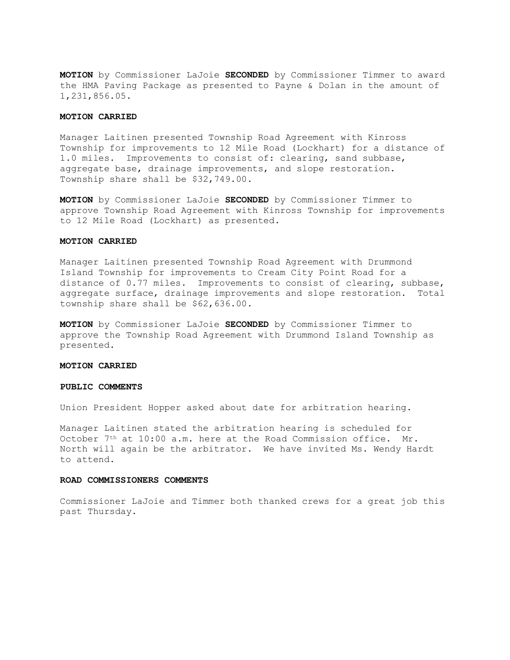**MOTION** by Commissioner LaJoie **SECONDED** by Commissioner Timmer to award the HMA Paving Package as presented to Payne & Dolan in the amount of 1,231,856.05.

### **MOTION CARRIED**

Manager Laitinen presented Township Road Agreement with Kinross Township for improvements to 12 Mile Road (Lockhart) for a distance of 1.0 miles. Improvements to consist of: clearing, sand subbase, aggregate base, drainage improvements, and slope restoration. Township share shall be \$32,749.00.

**MOTION** by Commissioner LaJoie **SECONDED** by Commissioner Timmer to approve Township Road Agreement with Kinross Township for improvements to 12 Mile Road (Lockhart) as presented.

## **MOTION CARRIED**

Manager Laitinen presented Township Road Agreement with Drummond Island Township for improvements to Cream City Point Road for a distance of 0.77 miles. Improvements to consist of clearing, subbase, aggregate surface, drainage improvements and slope restoration. Total township share shall be \$62,636.00.

**MOTION** by Commissioner LaJoie **SECONDED** by Commissioner Timmer to approve the Township Road Agreement with Drummond Island Township as presented.

## **MOTION CARRIED**

## **PUBLIC COMMENTS**

Union President Hopper asked about date for arbitration hearing.

Manager Laitinen stated the arbitration hearing is scheduled for October 7th at 10:00 a.m. here at the Road Commission office. Mr. North will again be the arbitrator. We have invited Ms. Wendy Hardt to attend.

#### **ROAD COMMISSIONERS COMMENTS**

Commissioner LaJoie and Timmer both thanked crews for a great job this past Thursday.